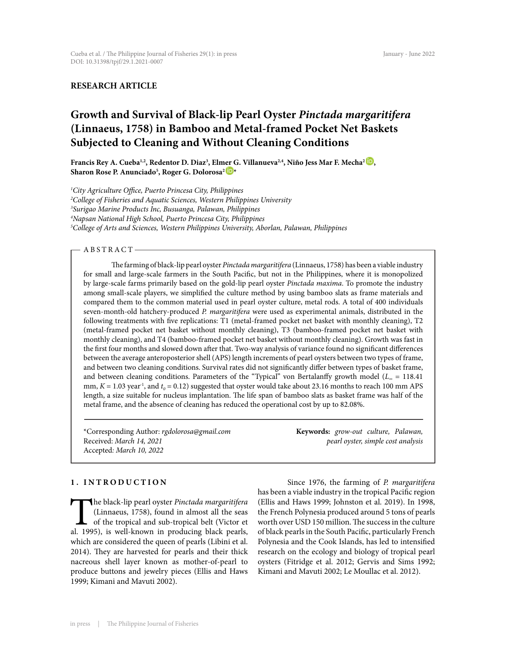# **RESEARCH ARTICLE**

# **Growth and Survival of Black-lip Pearl Oyster** *Pinctada margaritifera*  **(Linnaeus, 1758) in Bamboo and Metal-framed Pocket Net Baskets Subjected to Cleaning and Without Cleaning Conditions**

**Francis Rey A. Cueba1,2, Redentor D. Diaz3 , Elmer G. Villanueva2,4, Niño Jess Mar F. Mecha[2 ,](http://orcid.org/0000-0002-3885-5413) Sharon Rose P. Anunciado5 , Roger G. Dolorosa[2 \\*](http://orcid.org/0000-0002-3863-3968)**

 *City Agriculture Office, Puerto Princesa City, Philippines College of Fisheries and Aquatic Sciences, Western Philippines University Surigao Marine Products Inc, Busuanga, Palawan, Philippines Napsan National High School, Puerto Princesa City, Philippines College of Arts and Sciences, Western Philippines University, Aborlan, Palawan, Philippines*

# - ABSTRACT-

The farming of black-lip pearl oyster *Pinctada margaritifera* (Linnaeus, 1758) has been a viable industry for small and large-scale farmers in the South Pacific, but not in the Philippines, where it is monopolized by large-scale farms primarily based on the gold-lip pearl oyster *Pinctada maxima*. To promote the industry among small-scale players, we simplified the culture method by using bamboo slats as frame materials and compared them to the common material used in pearl oyster culture, metal rods. A total of 400 individuals seven-month-old hatchery-produced *P. margaritifera* were used as experimental animals, distributed in the following treatments with five replications: T1 (metal-framed pocket net basket with monthly cleaning), T2 (metal-framed pocket net basket without monthly cleaning), T3 (bamboo-framed pocket net basket with monthly cleaning), and T4 (bamboo-framed pocket net basket without monthly cleaning). Growth was fast in the first four months and slowed down after that. Two-way analysis of variance found no significant differences between the average anteroposterior shell (APS) length increments of pearl oysters between two types of frame, and between two cleaning conditions. Survival rates did not significantly differ between types of basket frame, and between cleaning conditions. Parameters of the "Typical" von Bertalanffy growth model (*L∞* = 118.41 mm,  $K = 1.03$  year<sup>-1</sup>, and  $t<sub>0</sub> = 0.12$ ) suggested that oyster would take about 23.16 months to reach 100 mm APS length, a size suitable for nucleus implantation. The life span of bamboo slats as basket frame was half of the metal frame, and the absence of cleaning has reduced the operational cost by up to 82.08%.

\*Corresponding Author: *rgdolorosa@gmail.com* Received: *March 14, 2021* Accepted*: March 10, 2022*

**Keywords:** *grow-out culture, Palawan, pearl oyster, simple cost analysis*

# **1. INTRODUCTION**

The black-lip pearl oyster *Pinctada margaritifera*<br>(Linnaeus, 1758), found in almost all the seas<br>of the tropical and sub-tropical belt (Victor et<br>al. 1995), is well-known in producing black pearls, (Linnaeus, 1758), found in almost all the seas of the tropical and sub-tropical belt (Victor et al. 1995), is well-known in producing black pearls, which are considered the queen of pearls (Libini et al. 2014). They are harvested for pearls and their thick nacreous shell layer known as mother-of-pearl to produce buttons and jewelry pieces (Ellis and Haws 1999; Kimani and Mavuti 2002).

Since 1976, the farming of *P. margaritifera* has been a viable industry in the tropical Pacific region (Ellis and Haws 1999; Johnston et al. 2019). In 1998, the French Polynesia produced around 5 tons of pearls worth over USD 150 million. The success in the culture of black pearls in the South Pacific, particularly French Polynesia and the Cook Islands, has led to intensified research on the ecology and biology of tropical pearl oysters (Fitridge et al. 2012; Gervis and Sims 1992; Kimani and Mavuti 2002; Le Moullac et al. 2012).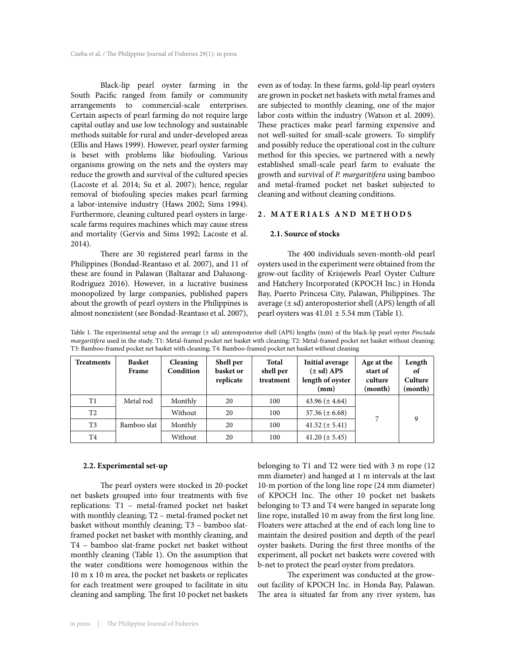Black-lip pearl oyster farming in the South Pacific ranged from family or community arrangements to commercial-scale enterprises. Certain aspects of pearl farming do not require large capital outlay and use low technology and sustainable methods suitable for rural and under-developed areas (Ellis and Haws 1999). However, pearl oyster farming is beset with problems like biofouling. Various organisms growing on the nets and the oysters may reduce the growth and survival of the cultured species (Lacoste et al. 2014; Su et al. 2007); hence, regular removal of biofouling species makes pearl farming a labor-intensive industry (Haws 2002; Sims 1994). Furthermore, cleaning cultured pearl oysters in largescale farms requires machines which may cause stress and mortality (Gervis and Sims 1992; Lacoste et al. 2014).

There are 30 registered pearl farms in the Philippines (Bondad-Reantaso et al. 2007), and 11 of these are found in Palawan (Baltazar and Dalusong-Rodriguez 2016). However, in a lucrative business monopolized by large companies, published papers about the growth of pearl oysters in the Philippines is almost nonexistent (see Bondad-Reantaso et al. 2007),

even as of today. In these farms, gold-lip pearl oysters are grown in pocket net baskets with metal frames and are subjected to monthly cleaning, one of the major labor costs within the industry (Watson et al. 2009). These practices make pearl farming expensive and not well-suited for small-scale growers. To simplify and possibly reduce the operational cost in the culture method for this species, we partnered with a newly established small-scale pearl farm to evaluate the growth and survival of *P. margaritifera* using bamboo and metal-framed pocket net basket subjected to cleaning and without cleaning conditions.

# **2. MATERIALS AND METHODS**

#### **2.1. Source of stocks**

The 400 individuals seven-month-old pearl oysters used in the experiment were obtained from the grow-out facility of Krisjewels Pearl Oyster Culture and Hatchery Incorporated (KPOCH Inc.) in Honda Bay, Puerto Princesa City, Palawan, Philippines. The average  $(\pm sd)$  anteroposterior shell (APS) length of all pearl oysters was  $41.01 \pm 5.54$  mm (Table 1).

Table 1. The experimental setup and the average (± sd) anteroposterior shell (APS) lengths (mm) of the black-lip pearl oyster *Pinctada margaritifera* used in the study. T1: Metal-framed pocket net basket with cleaning; T2: Metal-framed pocket net basket without cleaning; T3: Bamboo-framed pocket net basket with cleaning; T4: Bamboo-framed pocket net basket without cleaning

| Treatments     | <b>Basket</b><br>Frame | <b>Cleaning</b><br>Condition | Shell per<br>basket or<br>replicate | Total<br>shell per<br>treatment | <b>Initial average</b><br>$(\pm sd)$ APS<br>length of oyster<br>(mm) | Age at the<br>start of<br>culture<br>(month) | Length<br>оt<br>Culture<br>(month) |
|----------------|------------------------|------------------------------|-------------------------------------|---------------------------------|----------------------------------------------------------------------|----------------------------------------------|------------------------------------|
| T1             | Metal rod              | Monthly                      | 20                                  | 100                             | 43.96 $(\pm 4.64)$                                                   |                                              |                                    |
| T <sub>2</sub> |                        | Without                      | 20                                  | 100                             | $37.36 (\pm 6.68)$                                                   |                                              | 9                                  |
| T <sub>3</sub> | Bamboo slat            | Monthly                      | 20                                  | 100                             | $41.52 \ (\pm 5.41)$                                                 |                                              |                                    |
| T <sub>4</sub> |                        | Without                      | 20                                  | 100                             | $41.20 (\pm 5.45)$                                                   |                                              |                                    |

#### **2.2. Experimental set-up**

The pearl oysters were stocked in 20-pocket net baskets grouped into four treatments with five replications: T1 – metal-framed pocket net basket with monthly cleaning; T2 – metal-framed pocket net basket without monthly cleaning; T3 – bamboo slatframed pocket net basket with monthly cleaning, and T4 – bamboo slat-frame pocket net basket without monthly cleaning (Table 1). On the assumption that the water conditions were homogenous within the 10 m x 10 m area, the pocket net baskets or replicates for each treatment were grouped to facilitate in situ cleaning and sampling. The first 10 pocket net baskets

belonging to T1 and T2 were tied with 3 m rope (12 mm diameter) and hanged at 1 m intervals at the last 10-m portion of the long line rope (24 mm diameter) of KPOCH Inc. The other 10 pocket net baskets belonging to T3 and T4 were hanged in separate long line rope, installed 10 m away from the first long line. Floaters were attached at the end of each long line to maintain the desired position and depth of the pearl oyster baskets. During the first three months of the experiment, all pocket net baskets were covered with b-net to protect the pearl oyster from predators.

The experiment was conducted at the growout facility of KPOCH Inc. in Honda Bay, Palawan. The area is situated far from any river system, has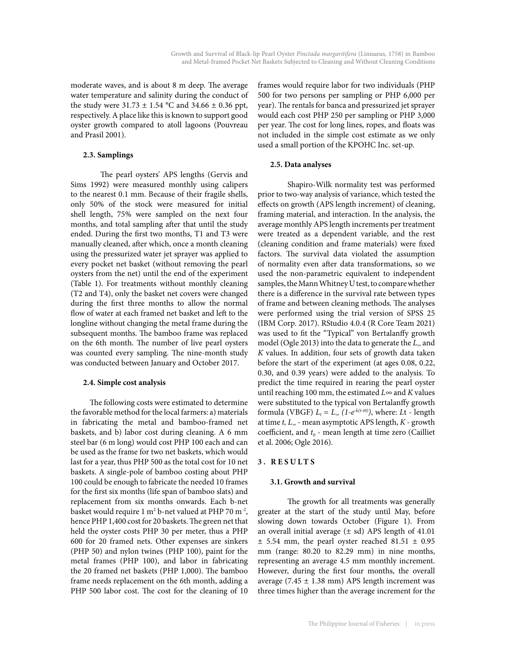moderate waves, and is about 8 m deep. The average water temperature and salinity during the conduct of the study were  $31.73 \pm 1.54$  °C and  $34.66 \pm 0.36$  ppt, respectively. A place like this is known to support good oyster growth compared to atoll lagoons (Pouvreau and Prasil 2001).

## **2.3. Samplings**

The pearl oysters' APS lengths (Gervis and Sims 1992) were measured monthly using calipers to the nearest 0.1 mm. Because of their fragile shells, only 50% of the stock were measured for initial shell length, 75% were sampled on the next four months, and total sampling after that until the study ended. During the first two months, T1 and T3 were manually cleaned, after which, once a month cleaning using the pressurized water jet sprayer was applied to every pocket net basket (without removing the pearl oysters from the net) until the end of the experiment (Table 1). For treatments without monthly cleaning (T2 and T4), only the basket net covers were changed during the first three months to allow the normal flow of water at each framed net basket and left to the longline without changing the metal frame during the subsequent months. The bamboo frame was replaced on the 6th month. The number of live pearl oysters was counted every sampling. The nine-month study was conducted between January and October 2017.

## **2.4. Simple cost analysis**

 The following costs were estimated to determine the favorable method for the local farmers: a) materials in fabricating the metal and bamboo-framed net baskets, and b) labor cost during cleaning. A 6 mm steel bar (6 m long) would cost PHP 100 each and can be used as the frame for two net baskets, which would last for a year, thus PHP 500 as the total cost for 10 net baskets. A single-pole of bamboo costing about PHP 100 could be enough to fabricate the needed 10 frames for the first six months (life span of bamboo slats) and replacement from six months onwards. Each b-net basket would require 1  $\mathrm{m}^2$  b-net valued at PHP 70  $\mathrm{m}^2$ , hence PHP 1,400 cost for 20 baskets. The green net that held the oyster costs PHP 30 per meter, thus a PHP 600 for 20 framed nets. Other expenses are sinkers (PHP 50) and nylon twines (PHP 100), paint for the metal frames (PHP 100), and labor in fabricating the 20 framed net baskets (PHP 1,000). The bamboo frame needs replacement on the 6th month, adding a PHP 500 labor cost. The cost for the cleaning of 10

frames would require labor for two individuals (PHP 500 for two persons per sampling or PHP 6,000 per year). The rentals for banca and pressurized jet sprayer would each cost PHP 250 per sampling or PHP 3,000 per year. The cost for long lines, ropes, and floats was not included in the simple cost estimate as we only used a small portion of the KPOHC Inc. set-up.

## **2.5. Data analyses**

Shapiro-Wilk normality test was performed prior to two-way analysis of variance, which tested the effects on growth (APS length increment) of cleaning, framing material, and interaction. In the analysis, the average monthly APS length increments per treatment were treated as a dependent variable, and the rest (cleaning condition and frame materials) were fixed factors. The survival data violated the assumption of normality even after data transformations, so we used the non-parametric equivalent to independent samples, the Mann Whitney U test, to compare whether there is a difference in the survival rate between types of frame and between cleaning methods. The analyses were performed using the trial version of SPSS 25 (IBM Corp. 2017). RStudio 4.0.4 (R Core Team 2021) was used to fit the "Typical" von Bertalanffy growth model (Ogle 2013) into the data to generate the *L∞* and *K* values. In addition, four sets of growth data taken before the start of the experiment (at ages 0.08, 0.22, 0.30, and 0.39 years) were added to the analysis. To predict the time required in rearing the pearl oyster until reaching 100 mm, the estimated  $L \infty$  and *K* values were substituted to the typical von Bertalanffy growth formula (VBGF)  $L_t = L_{\infty} (1-e^{-k(t-t_0)})$ , where: *L*t - length at time *t, L∞* - mean asymptotic APS length, *K* - growth coefficient, and  $t_0$  - mean length at time zero (Cailliet et al. 2006; Ogle 2016).

# **3. RESULTS**

#### **3.1. Growth and survival**

The growth for all treatments was generally greater at the start of the study until May, before slowing down towards October (Figure 1). From an overall initial average  $(\pm \text{ sd})$  APS length of 41.01  $\pm$  5.54 mm, the pearl oyster reached 81.51  $\pm$  0.95 mm (range: 80.20 to 82.29 mm) in nine months, representing an average 4.5 mm monthly increment. However, during the first four months, the overall average (7.45  $\pm$  1.38 mm) APS length increment was three times higher than the average increment for the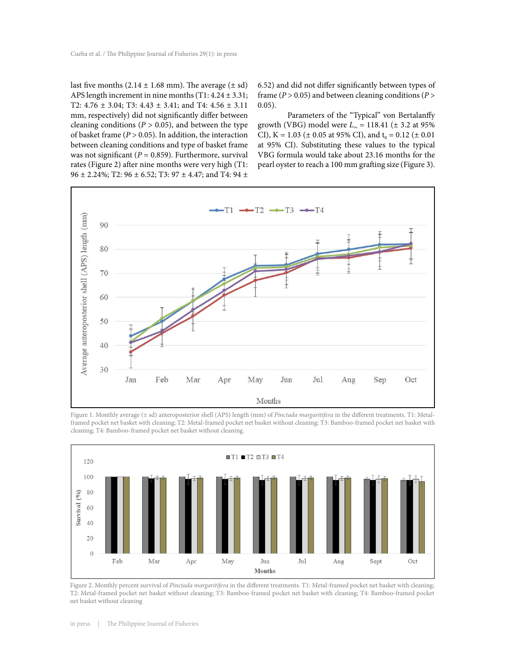last five months  $(2.14 \pm 1.68 \text{ mm})$ . The average  $(\pm \text{ sd})$ APS length increment in nine months  $(T1: 4.24 \pm 3.31;$ T2: 4.76 ± 3.04; T3: 4.43 ± 3.41; and T4: 4.56 ± 3.11 mm, respectively) did not significantly differ between cleaning conditions ( $P > 0.05$ ), and between the type of basket frame  $(P > 0.05)$ . In addition, the interaction between cleaning conditions and type of basket frame was not significant ( $P = 0.859$ ). Furthermore, survival rates (Figure 2) after nine months were very high (T1: 96  $\pm$  2.24%; T2: 96  $\pm$  6.52; T3: 97  $\pm$  4.47; and T4: 94  $\pm$  6.52) and did not differ significantly between types of frame (*P* > 0.05) and between cleaning conditions (*P* > 0.05).

Parameters of the "Typical" von Bertalanffy growth (VBG) model were *L∞* = 118.41 (± 3.2 at 95% CI), K = 1.03 ( $\pm$  0.05 at 95% CI), and t<sub>0</sub> = 0.12 ( $\pm$  0.01 at 95% CI). Substituting these values to the typical VBG formula would take about 23.16 months for the pearl oyster to reach a 100 mm grafting size (Figure 3).



Figure 1. Monthly average (± sd) anteroposterior shell (APS) length (mm) of *Pinctada margaritifera* in the different treatments. T1: Metalframed pocket net basket with cleaning; T2: Metal-framed pocket net basket without cleaning; T3: Bamboo-framed pocket net basket with cleaning; T4: Bamboo-framed pocket net basket without cleaning.



Figure 2. Monthly percent survival of *Pinctada margaritifera* in the different treatments. T1: Metal-framed pocket net basket with cleaning; T2: Metal-framed pocket net basket without cleaning; T3: Bamboo-framed pocket net basket with cleaning; T4: Bamboo-framed pocket net basket without cleaning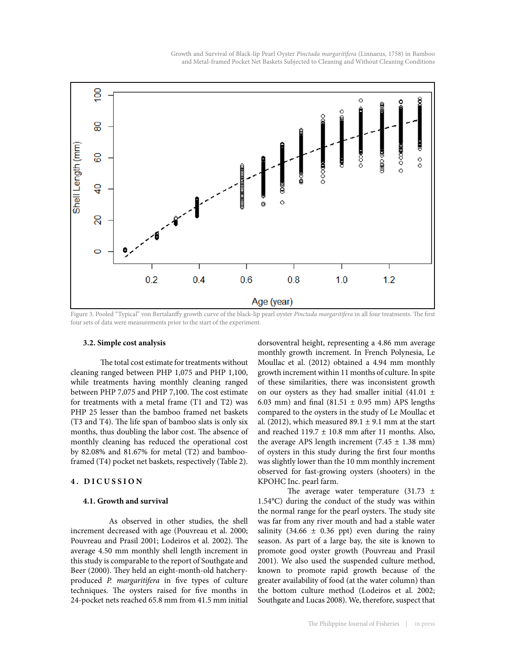Growth and Survival of Black-lip Pearl Oyster *Pinctada margaritifera* (Linnaeus, 1758) in Bamboo and Metal-framed Pocket Net Baskets Subjected to Cleaning and Without Cleaning Conditions



Figure 3. Pooled "Typical" von Bertalanffy growth curve of the black-lip pearl oyster *Pinctada margaritifera* in all four treatments. The first four sets of data were measurements prior to the start of the experiment.

#### **3.2. Simple cost analysis**

The total cost estimate for treatments without cleaning ranged between PHP 1,075 and PHP 1,100, while treatments having monthly cleaning ranged between PHP 7,075 and PHP 7,100. The cost estimate for treatments with a metal frame (T1 and T2) was PHP 25 lesser than the bamboo framed net baskets (T3 and T4). The life span of bamboo slats is only six months, thus doubling the labor cost. The absence of monthly cleaning has reduced the operational cost by 82.08% and 81.67% for metal (T2) and bambooframed (T4) pocket net baskets, respectively (Table 2).

## **4. DICUSSION**

#### **4.1. Growth and survival**

 As observed in other studies, the shell increment decreased with age (Pouvreau et al. 2000; Pouvreau and Prasil 2001; Lodeiros et al. 2002). The average 4.50 mm monthly shell length increment in this study is comparable to the report of Southgate and Beer (2000). They held an eight-month-old hatcheryproduced *P. margaritifera* in five types of culture techniques. The oysters raised for five months in 24-pocket nets reached 65.8 mm from 41.5 mm initial

dorsoventral height, representing a 4.86 mm average monthly growth increment. In French Polynesia, Le Moullac et al. (2012) obtained a 4.94 mm monthly growth increment within 11 months of culture. In spite of these similarities, there was inconsistent growth on our oysters as they had smaller initial  $(41.01 \pm$ 6.03 mm) and final (81.51  $\pm$  0.95 mm) APS lengths compared to the oysters in the study of Le Moullac et al. (2012), which measured 89.1  $\pm$  9.1 mm at the start and reached  $119.7 \pm 10.8$  mm after 11 months. Also, the average APS length increment  $(7.45 \pm 1.38 \text{ mm})$ of oysters in this study during the first four months was slightly lower than the 10 mm monthly increment observed for fast-growing oysters (shooters) in the KPOHC Inc. pearl farm.

The average water temperature  $(31.73 \pm 1)$ 1.54°C) during the conduct of the study was within the normal range for the pearl oysters. The study site was far from any river mouth and had a stable water salinity (34.66  $\pm$  0.36 ppt) even during the rainy season. As part of a large bay, the site is known to promote good oyster growth (Pouvreau and Prasil 2001). We also used the suspended culture method, known to promote rapid growth because of the greater availability of food (at the water column) than the bottom culture method (Lodeiros et al. 2002; Southgate and Lucas 2008). We, therefore, suspect that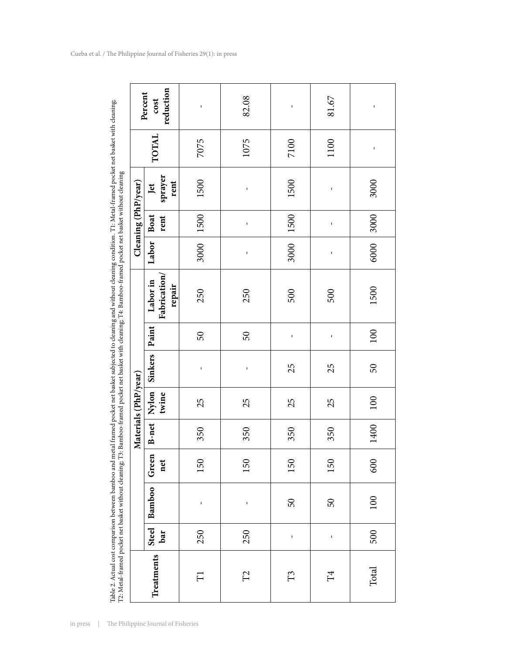| į                                                                                      |                                                                                                                                                                                                                               |
|----------------------------------------------------------------------------------------|-------------------------------------------------------------------------------------------------------------------------------------------------------------------------------------------------------------------------------|
|                                                                                        |                                                                                                                                                                                                                               |
|                                                                                        |                                                                                                                                                                                                                               |
|                                                                                        |                                                                                                                                                                                                                               |
|                                                                                        |                                                                                                                                                                                                                               |
| ֧֦֦֦֧֦֦֦֦֧֦֧֦֧֦֧֦֧֦֧֧֦֧֧֦֧֧֦֧֚֚֚֚֚֚֚֝֝֝֝֜֜֜                                            |                                                                                                                                                                                                                               |
|                                                                                        |                                                                                                                                                                                                                               |
|                                                                                        |                                                                                                                                                                                                                               |
|                                                                                        |                                                                                                                                                                                                                               |
|                                                                                        | l<br>١                                                                                                                                                                                                                        |
|                                                                                        | <br> <br> <br>ļ                                                                                                                                                                                                               |
|                                                                                        |                                                                                                                                                                                                                               |
|                                                                                        |                                                                                                                                                                                                                               |
|                                                                                        |                                                                                                                                                                                                                               |
|                                                                                        |                                                                                                                                                                                                                               |
|                                                                                        |                                                                                                                                                                                                                               |
|                                                                                        |                                                                                                                                                                                                                               |
| in FE di                                                                               |                                                                                                                                                                                                                               |
| ֘֒                                                                                     |                                                                                                                                                                                                                               |
|                                                                                        |                                                                                                                                                                                                                               |
| うちゅうしょう こうしょう                                                                          |                                                                                                                                                                                                                               |
|                                                                                        |                                                                                                                                                                                                                               |
| j                                                                                      |                                                                                                                                                                                                                               |
|                                                                                        |                                                                                                                                                                                                                               |
|                                                                                        |                                                                                                                                                                                                                               |
|                                                                                        |                                                                                                                                                                                                                               |
|                                                                                        | is a complete the complete of the complete of the complete of the complete of the complete of the complete of the complete of the complete of the complete of the complete of the complete of the complete of the complete of |
|                                                                                        | í                                                                                                                                                                                                                             |
|                                                                                        |                                                                                                                                                                                                                               |
|                                                                                        |                                                                                                                                                                                                                               |
| <b>.</b><br>.                                                                          |                                                                                                                                                                                                                               |
|                                                                                        | r<br>H                                                                                                                                                                                                                        |
| in ment                                                                                |                                                                                                                                                                                                                               |
|                                                                                        |                                                                                                                                                                                                                               |
|                                                                                        |                                                                                                                                                                                                                               |
| į                                                                                      |                                                                                                                                                                                                                               |
|                                                                                        |                                                                                                                                                                                                                               |
|                                                                                        |                                                                                                                                                                                                                               |
| ١                                                                                      |                                                                                                                                                                                                                               |
| j                                                                                      | J                                                                                                                                                                                                                             |
|                                                                                        |                                                                                                                                                                                                                               |
|                                                                                        |                                                                                                                                                                                                                               |
|                                                                                        |                                                                                                                                                                                                                               |
|                                                                                        |                                                                                                                                                                                                                               |
|                                                                                        |                                                                                                                                                                                                                               |
|                                                                                        |                                                                                                                                                                                                                               |
| j                                                                                      |                                                                                                                                                                                                                               |
|                                                                                        |                                                                                                                                                                                                                               |
|                                                                                        |                                                                                                                                                                                                                               |
| ֧֖֖֖֖֖֧ׅ֧֧֧֧֧֪֧֪֧֪֧֪֧֪֧֚֚֚֚֚֚֚֚֚֚֚֚֚֚֚֚֚֚֚֚֚֚֚֚֝֝֓֬֓֬֓֓֬֓֓֬֓֬֓֬֓֬֓֬֓֬֓֬֓֬֓֝֬֝֬֝֬֝֬֝֬֝֬ |                                                                                                                                                                                                                               |
|                                                                                        |                                                                                                                                                                                                                               |
|                                                                                        |                                                                                                                                                                                                                               |
| j                                                                                      |                                                                                                                                                                                                                               |
| m ata                                                                                  |                                                                                                                                                                                                                               |
| $-1.11$                                                                                | $T2.$ $D_{0.}$<br>l                                                                                                                                                                                                           |
|                                                                                        | ġ<br>Ĵ                                                                                                                                                                                                                        |
|                                                                                        | j                                                                                                                                                                                                                             |
|                                                                                        |                                                                                                                                                                                                                               |
|                                                                                        |                                                                                                                                                                                                                               |
|                                                                                        |                                                                                                                                                                                                                               |
|                                                                                        |                                                                                                                                                                                                                               |
|                                                                                        |                                                                                                                                                                                                                               |
|                                                                                        | ֠                                                                                                                                                                                                                             |
|                                                                                        |                                                                                                                                                                                                                               |
|                                                                                        |                                                                                                                                                                                                                               |
|                                                                                        |                                                                                                                                                                                                                               |
|                                                                                        |                                                                                                                                                                                                                               |
|                                                                                        | ֠                                                                                                                                                                                                                             |
|                                                                                        |                                                                                                                                                                                                                               |
|                                                                                        |                                                                                                                                                                                                                               |
|                                                                                        |                                                                                                                                                                                                                               |
|                                                                                        |                                                                                                                                                                                                                               |
|                                                                                        |                                                                                                                                                                                                                               |
|                                                                                        |                                                                                                                                                                                                                               |
| ı                                                                                      |                                                                                                                                                                                                                               |
| ţ                                                                                      |                                                                                                                                                                                                                               |
|                                                                                        |                                                                                                                                                                                                                               |

| reduction<br>Percent<br>cost |                                    | ı                   | 82.08    | ı            | 81.67        | ı      |
|------------------------------|------------------------------------|---------------------|----------|--------------|--------------|--------|
|                              | TOTAL                              | 7075                | 1075     | 7100         | 1100         | ı      |
| Cleaning (PhP/year)          | sprayer<br>rent<br>Jet             | 1500                | ı        | 1500         | $\mathbf{I}$ | 3000   |
|                              | Boat<br>rent                       | 1500                | ı        | 1500         | $\mathbf{I}$ | 3000   |
|                              | Labor                              | 3000                | ı        | 3000         | $\mathbf{I}$ | 6000   |
|                              | Fabrication/<br>Labor in<br>repair | 250                 | 250      | 500          | 500          | 1500   |
|                              | Paint                              | 50                  | $50\,$   | $\mathbf{I}$ | ı            | 100    |
|                              | <b>Sinkers</b>                     | ï                   | I        | 25           | 25           | $50\,$ |
| Materials (PhP/year)         | <b>B-net</b> Nylon<br>twine        | 25                  | 25       | 25           | 25           | 100    |
|                              |                                    | 350                 | 350      | 350          | 350          | 1400   |
|                              | Green<br>net                       | 150                 | 150      | 150          | 150          | 600    |
|                              | <b>Bamboo</b>                      | ı                   | I        | 50           | $50\,$       | 100    |
|                              | Steel<br>bar                       | 250                 | 250      | $\mathbf{I}$ | ı            | 500    |
|                              | <b>Treatments</b>                  | $\overline{\Gamma}$ | $\Gamma$ | $\Gamma$     | $\rm _H$     | Total  |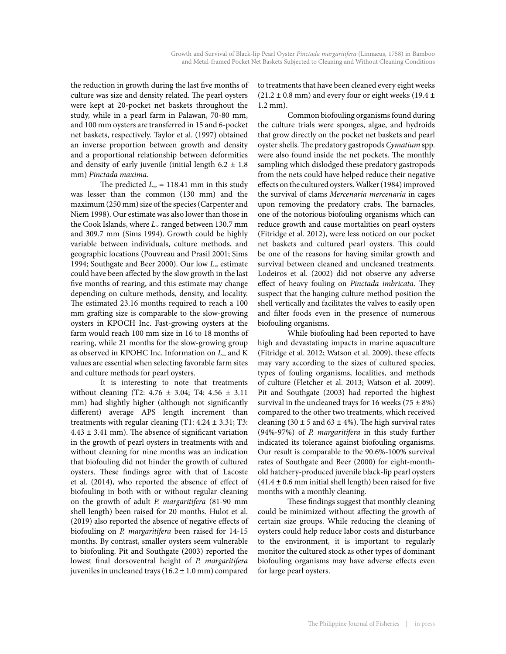the reduction in growth during the last five months of culture was size and density related. The pearl oysters were kept at 20-pocket net baskets throughout the study, while in a pearl farm in Palawan, 70-80 mm, and 100 mm oysters are transferred in 15 and 6-pocket net baskets, respectively. Taylor et al. (1997) obtained an inverse proportion between growth and density and a proportional relationship between deformities and density of early juvenile (initial length  $6.2 \pm 1.8$ ) mm) *Pinctada maxima.*

The predicted *L∞* = 118.41 mm in this study was lesser than the common (130 mm) and the maximum (250 mm) size of the species (Carpenter and Niem 1998). Our estimate was also lower than those in the Cook Islands, where *L∞* ranged between 130.7 mm and 309.7 mm (Sims 1994). Growth could be highly variable between individuals, culture methods, and geographic locations (Pouvreau and Prasil 2001; Sims 1994; Southgate and Beer 2000). Our low *L∞* estimate could have been affected by the slow growth in the last five months of rearing, and this estimate may change depending on culture methods, density, and locality. The estimated 23.16 months required to reach a 100 mm grafting size is comparable to the slow-growing oysters in KPOCH Inc. Fast-growing oysters at the farm would reach 100 mm size in 16 to 18 months of rearing, while 21 months for the slow-growing group as observed in KPOHC Inc. Information on *L∞* and K values are essential when selecting favorable farm sites and culture methods for pearl oysters.

It is interesting to note that treatments without cleaning (T2:  $4.76 \pm 3.04$ ; T4:  $4.56 \pm 3.11$ mm) had slightly higher (although not significantly different) average APS length increment than treatments with regular cleaning  $(T1: 4.24 \pm 3.31; T3:$  $4.43 \pm 3.41$  mm). The absence of significant variation in the growth of pearl oysters in treatments with and without cleaning for nine months was an indication that biofouling did not hinder the growth of cultured oysters. These findings agree with that of Lacoste et al. (2014), who reported the absence of effect of biofouling in both with or without regular cleaning on the growth of adult *P. margaritifera* (81-90 mm shell length) been raised for 20 months. Hulot et al. (2019) also reported the absence of negative effects of biofouling on *P. margaritifera* been raised for 14-15 months. By contrast, smaller oysters seem vulnerable to biofouling. Pit and Southgate (2003) reported the lowest final dorsoventral height of *P. margaritifera* juveniles in uncleaned trays  $(16.2 \pm 1.0 \text{ mm})$  compared

to treatments that have been cleaned every eight weeks  $(21.2 \pm 0.8 \text{ mm})$  and every four or eight weeks (19.4  $\pm$ 1.2 mm).

Common biofouling organisms found during the culture trials were sponges, algae, and hydroids that grow directly on the pocket net baskets and pearl oyster shells. The predatory gastropods *Cymatium* spp. were also found inside the net pockets. The monthly sampling which dislodged these predatory gastropods from the nets could have helped reduce their negative effects on the cultured oysters. Walker (1984) improved the survival of clams *Mercenaria mercenaria* in cages upon removing the predatory crabs. The barnacles, one of the notorious biofouling organisms which can reduce growth and cause mortalities on pearl oysters (Fitridge et al. 2012), were less noticed on our pocket net baskets and cultured pearl oysters. This could be one of the reasons for having similar growth and survival between cleaned and uncleaned treatments. Lodeiros et al. (2002) did not observe any adverse effect of heavy fouling on *Pinctada imbricata*. They suspect that the hanging culture method position the shell vertically and facilitates the valves to easily open and filter foods even in the presence of numerous biofouling organisms.

While biofouling had been reported to have high and devastating impacts in marine aquaculture (Fitridge et al. 2012; Watson et al. 2009), these effects may vary according to the sizes of cultured species, types of fouling organisms, localities, and methods of culture (Fletcher et al. 2013; Watson et al. 2009). Pit and Southgate (2003) had reported the highest survival in the uncleaned trays for 16 weeks (75  $\pm$  8%) compared to the other two treatments, which received cleaning (30  $\pm$  5 and 63  $\pm$  4%). The high survival rates (94%-97%) of *P. margaritifera* in this study further indicated its tolerance against biofouling organisms. Our result is comparable to the 90.6%-100% survival rates of Southgate and Beer (2000) for eight-monthold hatchery-produced juvenile black-lip pearl oysters  $(41.4 \pm 0.6 \text{ mm}$  initial shell length) been raised for five months with a monthly cleaning.

These findings suggest that monthly cleaning could be minimized without affecting the growth of certain size groups. While reducing the cleaning of oysters could help reduce labor costs and disturbance to the environment, it is important to regularly monitor the cultured stock as other types of dominant biofouling organisms may have adverse effects even for large pearl oysters.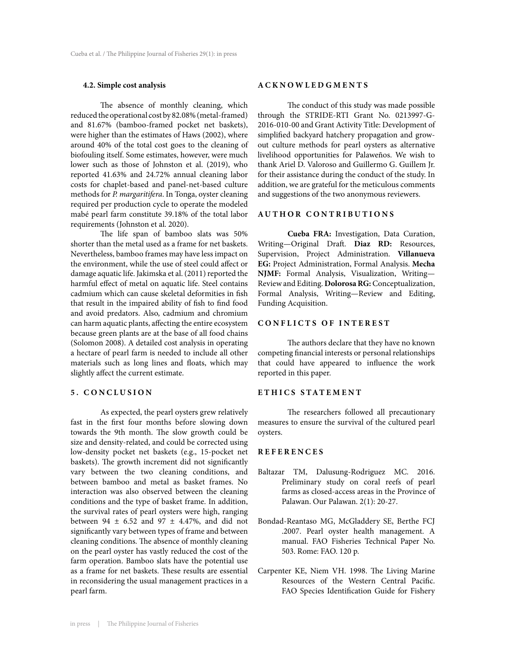## **4.2. Simple cost analysis**

The absence of monthly cleaning, which reduced the operational cost by 82.08% (metal-framed) and 81.67% (bamboo-framed pocket net baskets), were higher than the estimates of Haws (2002), where around 40% of the total cost goes to the cleaning of biofouling itself. Some estimates, however, were much lower such as those of Johnston et al. (2019), who reported 41.63% and 24.72% annual cleaning labor costs for chaplet-based and panel-net-based culture methods for *P. margaritifera*. In Tonga, oyster cleaning required per production cycle to operate the modeled mabé pearl farm constitute 39.18% of the total labor requirements (Johnston et al. 2020).

The life span of bamboo slats was 50% shorter than the metal used as a frame for net baskets. Nevertheless, bamboo frames may have less impact on the environment, while the use of steel could affect or damage aquatic life. Jakimska et al. (2011) reported the harmful effect of metal on aquatic life. Steel contains cadmium which can cause skeletal deformities in fish that result in the impaired ability of fish to find food and avoid predators. Also, cadmium and chromium can harm aquatic plants, affecting the entire ecosystem because green plants are at the base of all food chains (Solomon 2008). A detailed cost analysis in operating a hectare of pearl farm is needed to include all other materials such as long lines and floats, which may slightly affect the current estimate.

#### **5. CONCLUSION**

As expected, the pearl oysters grew relatively fast in the first four months before slowing down towards the 9th month. The slow growth could be size and density-related, and could be corrected using low-density pocket net baskets (e.g., 15-pocket net baskets). The growth increment did not significantly vary between the two cleaning conditions, and between bamboo and metal as basket frames. No interaction was also observed between the cleaning conditions and the type of basket frame. In addition, the survival rates of pearl oysters were high, ranging between 94  $\pm$  6.52 and 97  $\pm$  4.47%, and did not significantly vary between types of frame and between cleaning conditions. The absence of monthly cleaning on the pearl oyster has vastly reduced the cost of the farm operation. Bamboo slats have the potential use as a frame for net baskets. These results are essential in reconsidering the usual management practices in a pearl farm.

#### **ACKNOWLEDGMENTS**

The conduct of this study was made possible through the STRIDE-RTI Grant No. 0213997-G-2016-010-00 and Grant Activity Title: Development of simplified backyard hatchery propagation and growout culture methods for pearl oysters as alternative livelihood opportunities for Palaweños. We wish to thank Ariel D. Valoroso and Guillermo G. Guillem Jr. for their assistance during the conduct of the study. In addition, we are grateful for the meticulous comments and suggestions of the two anonymous reviewers.

# **AUTHOR CONTRIBUTIONS**

**Cueba FRA:** Investigation, Data Curation, Writing—Original Draft. **Diaz RD:** Resources, Supervision, Project Administration. **Villanueva EG:** Project Administration, Formal Analysis. **Mecha NJMF:** Formal Analysis, Visualization, Writing— Review and Editing. **Dolorosa RG:** Conceptualization, Formal Analysis, Writing—Review and Editing, Funding Acquisition.

# **CONFLICTS OF INTEREST**

The authors declare that they have no known competing financial interests or personal relationships that could have appeared to influence the work reported in this paper.

#### **ETHICS STATEMENT**

The researchers followed all precautionary measures to ensure the survival of the cultured pearl oysters.

#### **REFERENCES**

- Baltazar TM, Dalusung-Rodriguez MC. 2016. Preliminary study on coral reefs of pearl farms as closed-access areas in the Province of Palawan. Our Palawan. 2(1): 20-27.
- Bondad-Reantaso MG, McGladdery SE, Berthe FCJ .2007. Pearl oyster health management. A manual. FAO Fisheries Technical Paper No. 503. Rome: FAO. 120 p.
- Carpenter KE, Niem VH. 1998. The Living Marine Resources of the Western Central Pacific. FAO Species Identification Guide for Fishery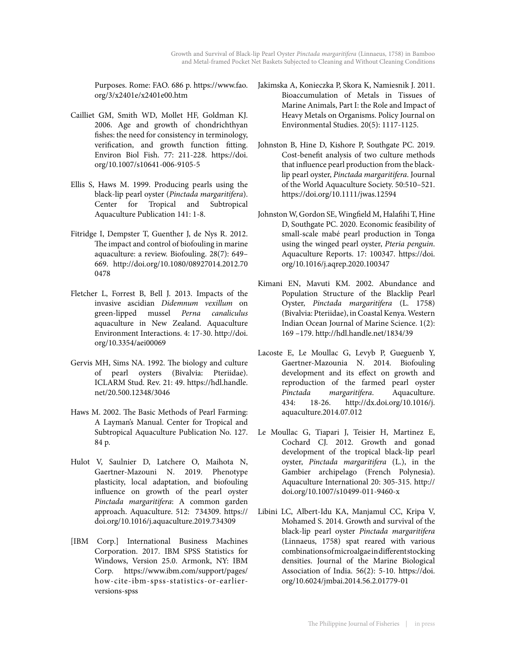Purposes. Rome: FAO. 686 p. https://www.fao. org/3/x2401e/x2401e00.htm

- Cailliet GM, Smith WD, Mollet HF, Goldman KJ. 2006. Age and growth of chondrichthyan fishes: the need for consistency in terminology, verification, and growth function fitting. Environ Biol Fish. 77: 211-228. https://doi. org/10.1007/s10641-006-9105-5
- Ellis S, Haws M. 1999. Producing pearls using the black-lip pearl oyster (*Pinctada margaritifera*). Center for Tropical and Subtropical Aquaculture Publication 141: 1-8.
- Fitridge I, Dempster T, Guenther J, de Nys R. 2012. The impact and control of biofouling in marine aquaculture: a review. Biofouling. 28(7): 649– 669. http://doi.org/10.1080/08927014.2012.70 0478
- Fletcher L, Forrest B, Bell J. 2013. Impacts of the invasive ascidian *Didemnum vexillum* on green-lipped mussel *Perna canaliculus*  aquaculture in New Zealand. Aquaculture Environment Interactions. 4: 17-30. http://doi. org/10.3354/aei00069
- Gervis MH, Sims NA. 1992. The biology and culture of pearl oysters (Bivalvia: Pteriidae). ICLARM Stud. Rev. 21: 49. https://hdl.handle. net/20.500.12348/3046
- Haws M. 2002. The Basic Methods of Pearl Farming: A Layman's Manual. Center for Tropical and Subtropical Aquaculture Publication No. 127. 84 p.
- Hulot V, Saulnier D, Latchere O, Maihota N, Gaertner-Mazouni N. 2019. Phenotype plasticity, local adaptation, and biofouling influence on growth of the pearl oyster *Pinctada margaritifera*: A common garden approach. Aquaculture. 512: 734309. https:// doi.org/10.1016/j.aquaculture.2019.734309
- [IBM Corp.] International Business Machines Corporation. 2017. IBM SPSS Statistics for Windows, Version 25.0. Armonk, NY: IBM Corp. https://www.ibm.com/support/pages/ how-cite-ibm-spss-statistics-or-earlierversions-spss
- Jakimska A, Konieczka P, Skora K, Namiesnik J. 2011. Bioaccumulation of Metals in Tissues of Marine Animals, Part I: the Role and Impact of Heavy Metals on Organisms. Policy Journal on Environmental Studies. 20(5): 1117-1125.
- Johnston B, Hine D, Kishore P, Southgate PC. 2019. Cost-benefit analysis of two culture methods that influence pearl production from the blacklip pearl oyster, *Pinctada margaritifera*. Journal of the World Aquaculture Society. 50:510–521. https://doi.org/10.1111/jwas.12594
- Johnston W, Gordon SE, Wingfield M, Halafihi T, Hine D, Southgate PC. 2020. Economic feasibility of small-scale mabé pearl production in Tonga using the winged pearl oyster, *Pteria penguin*. Aquaculture Reports. 17: 100347. https://doi. org/10.1016/j.aqrep.2020.100347
- Kimani EN, Mavuti KM. 2002. Abundance and Population Structure of the Blacklip Pearl Oyster, *Pinctada margaritifera* (L. 1758) (Bivalvia: Pteriidae), in Coastal Kenya. Western Indian Ocean Journal of Marine Science. 1(2): 169 –179. http://hdl.handle.net/1834/39
- Lacoste E, Le Moullac G, Levyb P, Gueguenb Y, Gaertner-Mazounia N. 2014. Biofouling development and its effect on growth and reproduction of the farmed pearl oyster *Pinctada margaritifera*. Aquaculture. 434: 18-26. http://dx.doi.org/10.1016/j. aquaculture.2014.07.012
- Le Moullac G, Tiapari J, Teisier H, Martinez E, Cochard CJ. 2012. Growth and gonad development of the tropical black-lip pearl oyster, *Pinctada margaritifera* (L.), in the Gambier archipelago (French Polynesia). Aquaculture International 20: 305-315. http:// doi.org/10.1007/s10499-011-9460-x
- Libini LC, Albert-Idu KA, Manjamul CC, Kripa V, Mohamed S. 2014. Growth and survival of the black-lip pearl oyster *Pinctada margaritifera* (Linnaeus, 1758) spat reared with various combinations of microalgae in different stocking densities. Journal of the Marine Biological Association of India. 56(2): 5-10. https://doi. org/10.6024/jmbai.2014.56.2.01779-01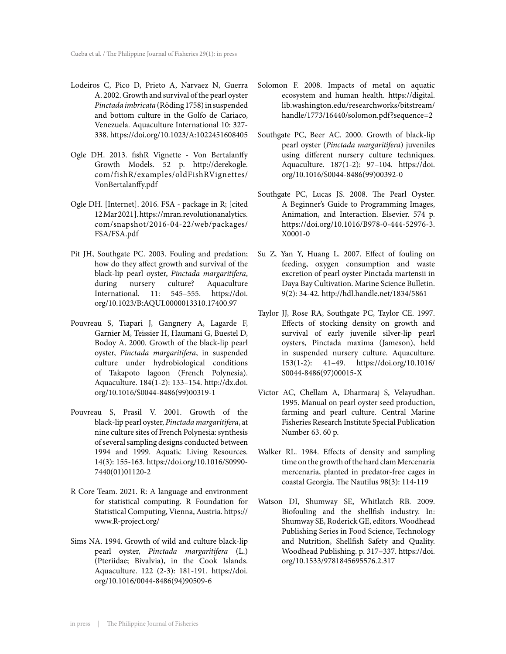- Lodeiros C, Pico D, Prieto A, Narvaez N, Guerra A. 2002. Growth and survival of the pearl oyster *Pinctada imbricata* (Röding 1758) in suspended and bottom culture in the Golfo de Cariaco, Venezuela. Aquaculture International 10: 327- 338. https://doi.org/10.1023/A:1022451608405
- Ogle DH. 2013. fishR Vignette Von Bertalanffy Growth Models. 52 p. http://derekogle. com/fishR/examples/oldFishRVignettes/ VonBertalanffy.pdf
- Ogle DH. [Internet]. 2016. FSA package in R; [cited 12 Mar 2021]. https://mran.revolutionanalytics. com/snapshot/2016-04-22/web/packages/ FSA/FSA.pdf
- Pit JH, Southgate PC. 2003. Fouling and predation; how do they affect growth and survival of the black-lip pearl oyster, *Pinctada margaritifera*, during nursery culture? Aquaculture International. 11: 545–555. https://doi. org/10.1023/B:AQUI.0000013310.17400.97
- Pouvreau S, Tiapari J, Gangnery A, Lagarde F, Garnier M, Teissier H, Haumani G, Buestel D, Bodoy A. 2000. Growth of the black-lip pearl oyster, *Pinctada margaritifera*, in suspended culture under hydrobiological conditions of Takapoto lagoon (French Polynesia). Aquaculture. 184(1-2): 133–154. http://dx.doi. org/10.1016/S0044-8486(99)00319-1
- Pouvreau S, Prasil V. 2001. Growth of the black-lip pearl oyster, *Pinctada margaritifera*, at nine culture sites of French Polynesia: synthesis of several sampling designs conducted between 1994 and 1999. Aquatic Living Resources. 14(3): 155-163. https://doi.org/10.1016/S0990- 7440(01)01120-2
- R Core Team. 2021. R: A language and environment for statistical computing. R Foundation for Statistical Computing, Vienna, Austria. https:// www.R-project.org/
- Sims NA. 1994. Growth of wild and culture black-lip pearl oyster, *Pinctada margaritifera* (L.) (Pteriidae; Bivalvia), in the Cook Islands. Aquaculture. 122 (2-3): 181-191. https://doi. org/10.1016/0044-8486(94)90509-6
- Solomon F. 2008. Impacts of metal on aquatic ecosystem and human health. https://digital. lib.washington.edu/researchworks/bitstream/ handle/1773/16440/solomon.pdf?sequence=2
- Southgate PC, Beer AC. 2000. Growth of black-lip pearl oyster (*Pinctada margaritifera*) juveniles using different nursery culture techniques. Aquaculture. 187(1-2): 97–104. https://doi. org/10.1016/S0044-8486(99)00392-0
- Southgate PC, Lucas JS. 2008. The Pearl Oyster. A Beginner's Guide to Programming Images, Animation, and Interaction. Elsevier. 574 p. https://doi.org/10.1016/B978-0-444-52976-3. X0001-0
- Su Z, Yan Y, Huang L. 2007. Effect of fouling on feeding, oxygen consumption and waste excretion of pearl oyster Pinctada martensii in Daya Bay Cultivation. Marine Science Bulletin. 9(2): 34-42. http://hdl.handle.net/1834/5861
- Taylor JJ, Rose RA, Southgate PC, Taylor CE. 1997. Effects of stocking density on growth and survival of early juvenile silver-lip pearl oysters, Pinctada maxima (Jameson), held in suspended nursery culture. Aquaculture. 153(1-2): 41–49. https://doi.org/10.1016/ S0044-8486(97)00015-X
- Victor AC, Chellam A, Dharmaraj S, Velayudhan. 1995. Manual on pearl oyster seed production, farming and pearl culture. Central Marine Fisheries Research Institute Special Publication Number 63. 60 p.
- Walker RL. 1984. Effects of density and sampling time on the growth of the hard clam Mercenaria mercenaria, planted in predator-free cages in coastal Georgia. The Nautilus 98(3): 114-119
- Watson DI, Shumway SE, Whitlatch RB. 2009. Biofouling and the shellfish industry. In: Shumway SE, Roderick GE, editors. Woodhead Publishing Series in Food Science, Technology and Nutrition, Shellfish Safety and Quality. Woodhead Publishing. p. 317–337. https://doi. org/10.1533/9781845695576.2.317